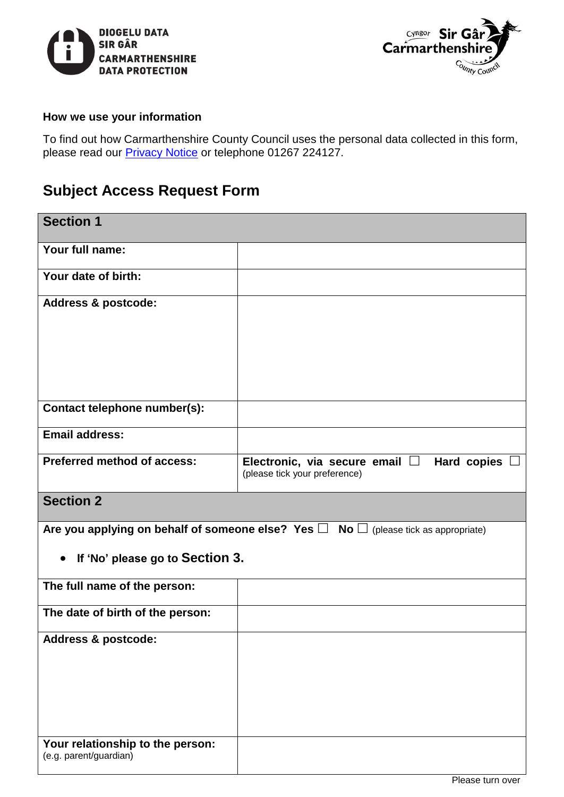



## **How we use your information**

To find out how Carmarthenshire County Council uses the personal data collected in this form, please read our *[Privacy Notice](https://www.carmarthenshire.gov.wales/home/council-democracy/data-protection/privacy-notices/information-governance-information-requests/)* or telephone 01267 224127.

## **Subject Access Request Form**

| <b>Section 1</b>                                                                                    |                                                                                               |  |
|-----------------------------------------------------------------------------------------------------|-----------------------------------------------------------------------------------------------|--|
| Your full name:                                                                                     |                                                                                               |  |
| Your date of birth:                                                                                 |                                                                                               |  |
| <b>Address &amp; postcode:</b>                                                                      |                                                                                               |  |
|                                                                                                     |                                                                                               |  |
|                                                                                                     |                                                                                               |  |
|                                                                                                     |                                                                                               |  |
| Contact telephone number(s):                                                                        |                                                                                               |  |
| <b>Email address:</b>                                                                               |                                                                                               |  |
| <b>Preferred method of access:</b>                                                                  | <b>Hard copies</b><br>Electronic, via secure email $\square$<br>(please tick your preference) |  |
| <b>Section 2</b>                                                                                    |                                                                                               |  |
| Are you applying on behalf of someone else? Yes $\square$ No $\square$ (please tick as appropriate) |                                                                                               |  |
| If 'No' please go to Section 3.<br>$\bullet$                                                        |                                                                                               |  |
| The full name of the person:                                                                        |                                                                                               |  |
| The date of birth of the person:                                                                    |                                                                                               |  |
| Address & postcode:                                                                                 |                                                                                               |  |
|                                                                                                     |                                                                                               |  |
|                                                                                                     |                                                                                               |  |
|                                                                                                     |                                                                                               |  |
| Your relationship to the person:<br>(e.g. parent/guardian)                                          |                                                                                               |  |